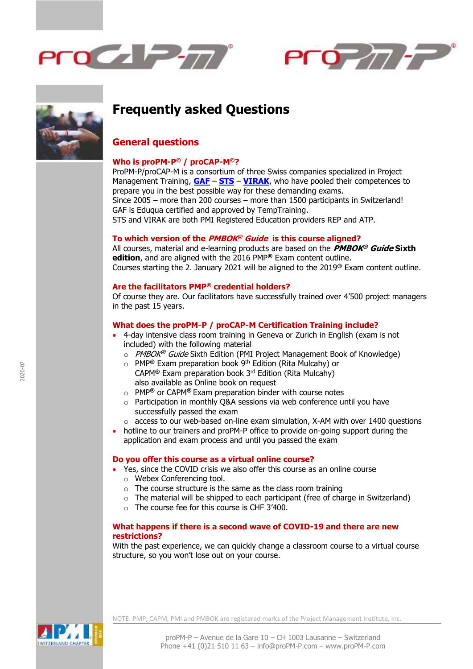





# **Frequently asked Questions**

# **General questions**

# **Who is proPM-P © / proCAP-M©?**

ProPM-P/proCAP-M is a consortium of three Swiss companies specialized in Project Management Training, **[GAF](http://www.swiss-management-training.ch/pmp-project-management-professional-en.html)** – **[STS](http://sts.ch/en/solutions/certification/pmp-preparation-course)** – **[VIRAK](http://www.virak.com/pmp-certification.php)**, who have pooled their competences to prepare you in the best possible way for these demanding exams. Since 2005 – more than 200 courses – more than 1500 participants in Switzerland! GAF is Eduqua certified and approved by TempTraining. STS and VIRAK are both PMI Registered Education providers REP and ATP.

# **To which version of the PMBOK ® Guide is this course aligned?**

All courses, material and e-learning products are based on the **PMBOK ® Guide Sixth edition**, and are aligned with the 2016 PMP**®** Exam content outline. Courses starting the 2. January 2021 will be aligned to the 2019**®** Exam content outline.

# **Are the facilitators PMP® credential holders?**

Of course they are. Our facilitators have successfully trained over 4'500 project managers in the past 15 years.

# **What does the proPM-P / proCAP-M Certification Training include?**

- 4-day intensive class room training in Geneva or Zurich in English (exam is not included) with the following material
	- o PMBOK **®** Guide Sixth Edition (PMI Project Management Book of Knowledge)
	- o PMP**®** Exam preparation book 9 th Edition (Rita Mulcahy) or CAPM**®** Exam preparation book 3rd Edition (Rita Mulcahy) also available as Online book on request
	- o PMP**®** or CAPM**®** Exam preparation binder with course notes
	- o Participation in monthly Q&A sessions via web conference until you have successfully passed the exam
	- $\circ$  access to our web-based on-line exam simulation, X-AM with over 1400 questions
- hotline to our trainers and proPM-P office to provide on-going support during the application and exam process and until you passed the exam

#### **Do you offer this course as a virtual online course?**

- Yes, since the COVID crisis we also offer this course as an online course o Webex Conferencing tool.
	- $\circ$  The course structure is the same as the class room training
	- $\circ$  The material will be shipped to each participant (free of charge in Switzerland)
	- o The course fee for this course is CHF 3'400.

# **What happens if there is a second wave of COVID-19 and there are new restrictions?**

With the past experience, we can quickly change a classroom course to a virtual course structure, so you won't lose out on your course.

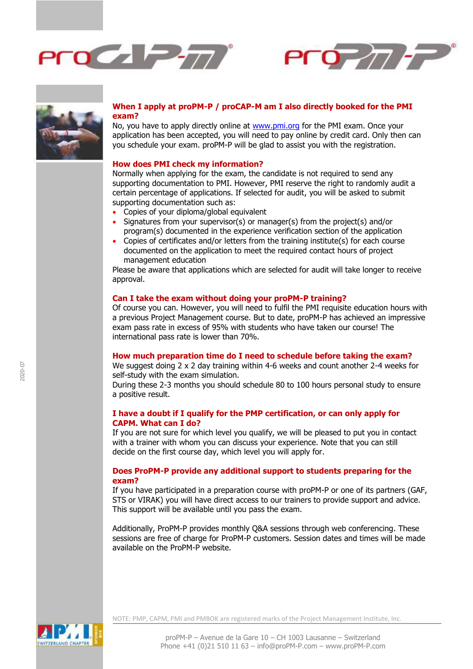





# **When I apply at proPM-P / proCAP-M am I also directly booked for the PMI exam?**

No, you have to apply directly online at [www.pmi.org](http://www.pmi.org/) for the PMI exam. Once your application has been accepted, you will need to pay online by credit card. Only then can you schedule your exam. proPM-P will be glad to assist you with the registration.

#### **How does PMI check my information?**

Normally when applying for the exam, the candidate is not required to send any supporting documentation to PMI. However, PMI reserve the right to randomly audit a certain percentage of applications. If selected for audit, you will be asked to submit supporting documentation such as:

- Copies of your diploma/global equivalent
- Signatures from your supervisor(s) or manager(s) from the project(s) and/or program(s) documented in the experience verification section of the application
- Copies of certificates and/or letters from the training institute(s) for each course documented on the application to meet the required contact hours of project management education

Please be aware that applications which are selected for audit will take longer to receive approval.

#### **Can I take the exam without doing your proPM-P training?**

Of course you can. However, you will need to fulfil the PMI requisite education hours with a previous Project Management course. But to date, proPM-P has achieved an impressive exam pass rate in excess of 95% with students who have taken our course! The international pass rate is lower than 70%.

## **How much preparation time do I need to schedule before taking the exam?**

We suggest doing 2 x 2 day training within 4-6 weeks and count another 2-4 weeks for self-study with the exam simulation.

During these 2-3 months you should schedule 80 to 100 hours personal study to ensure a positive result.

# **I have a doubt if I qualify for the PMP certification, or can only apply for CAPM. What can I do?**

If you are not sure for which level you qualify, we will be pleased to put you in contact with a trainer with whom you can discuss your experience. Note that you can still decide on the first course day, which level you will apply for.

# **Does ProPM-P provide any additional support to students preparing for the exam?**

If you have participated in a preparation course with proPM-P or one of its partners (GAF, STS or VIRAK) you will have direct access to our trainers to provide support and advice. This support will be available until you pass the exam.

Additionally, ProPM-P provides monthly Q&A sessions through web conferencing. These sessions are free of charge for ProPM-P customers. Session dates and times will be made available on the ProPM-P website.

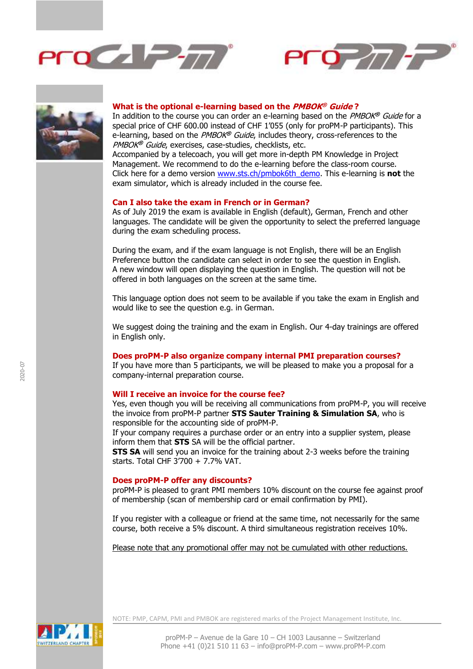





#### **What is the optional e-learning based on the PMBOK ® Guide ?**

In addition to the course you can order an e-learning based on the PMBOK **®** Guide for a special price of CHF 600.00 instead of CHF 1'055 (only for proPM-P participants). This e-learning, based on the PMBOK **®** Guide, includes theory, cross-references to the PMBOK **®** Guide, exercises, case-studies, checklists, etc.

Accompanied by a telecoach, you will get more in-depth PM Knowledge in Project Management. We recommend to do the e-learning before the class-room course. Click here for a demo version [www.sts.ch/pmbok6th\\_demo.](https://sts.ch/en/products/e-learning/pmbok-guide-sixth-edition) This e-learning is **not** the exam simulator, which is already included in the course fee.

#### **Can I also take the exam in French or in German?**

As of July 2019 the exam is available in English (default), German, French and other languages. The candidate will be given the opportunity to select the preferred language during the exam scheduling process.

During the exam, and if the exam language is not English, there will be an English Preference button the candidate can select in order to see the question in English. A new window will open displaying the question in English. The question will not be offered in both languages on the screen at the same time.

This language option does not seem to be available if you take the exam in English and would like to see the question e.g. in German.

We suggest doing the training and the exam in English. Our 4-day trainings are offered in English only.

## **Does proPM-P also organize company internal PMI preparation courses?**

If you have more than 5 participants, we will be pleased to make you a proposal for a company-internal preparation course.

#### **Will I receive an invoice for the course fee?**

Yes, even though you will be receiving all communications from proPM-P, you will receive the invoice from proPM-P partner **STS Sauter Training & Simulation SA**, who is responsible for the accounting side of proPM-P.

If your company requires a purchase order or an entry into a supplier system, please inform them that **STS** SA will be the official partner.

**STS SA** will send you an invoice for the training about 2-3 weeks before the training starts. Total CHF 3'700 + 7.7% VAT.

#### **Does proPM-P offer any discounts?**

proPM-P is pleased to grant PMI members 10% discount on the course fee against proof of membership (scan of membership card or email confirmation by PMI).

If you register with a colleague or friend at the same time, not necessarily for the same course, both receive a 5% discount. A third simultaneous registration receives 10%.

Please note that any promotional offer may not be cumulated with other reductions.

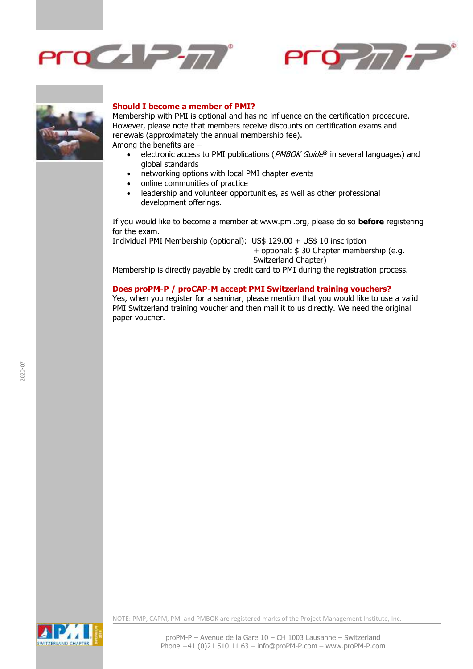





#### **Should I become a member of PMI?**

Membership with PMI is optional and has no influence on the certification procedure. However, please note that members receive discounts on certification exams and renewals (approximately the annual membership fee). Among the benefits are –

- electronic access to PMI publications (PMBOK Guide **®** in several languages) and global standards
- networking options with local PMI chapter events
- online communities of practice
- leadership and volunteer opportunities, as well as other professional development offerings.

If you would like to become a member at www.pmi.org, please do so **before** registering for the exam.

Individual PMI Membership (optional): US\$ 129.00 + US\$ 10 inscription + optional: \$ 30 Chapter membership (e.g. Switzerland Chapter)

Membership is directly payable by credit card to PMI during the registration process.

#### **Does proPM-P / proCAP-M accept PMI Switzerland training vouchers?**

Yes, when you register for a seminar, please mention that you would like to use a valid PMI Switzerland training voucher and then mail it to us directly. We need the original paper voucher.



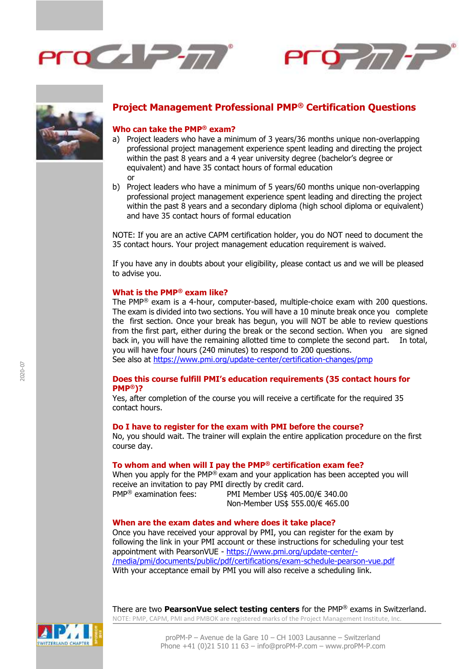





# **Project Management Professional PMP® Certification Questions**

#### **Who can take the PMP® exam?**

- a) Project leaders who have a minimum of 3 years/36 months unique non-overlapping professional project management experience spent leading and directing the project within the past 8 years and a 4 year university degree (bachelor's degree or equivalent) and have 35 contact hours of formal education or
- b) Project leaders who have a minimum of 5 years/60 months unique non-overlapping professional project management experience spent leading and directing the project within the past 8 years and a secondary diploma (high school diploma or equivalent) and have 35 contact hours of formal education

NOTE: If you are an active CAPM certification holder, you do NOT need to document the 35 contact hours. Your project management education requirement is waived.

If you have any in doubts about your eligibility, please contact us and we will be pleased to advise you.

# **What is the PMP® exam like?**

The PMP® exam is a 4-hour, computer-based, multiple-choice exam with 200 questions. The exam is divided into two sections. You will have a 10 minute break once you complete the first section. Once your break has begun, you will NOT be able to review questions from the first part, either during the break or the second section. When you are signed back in, you will have the remaining allotted time to complete the second part. In total, you will have four hours (240 minutes) to respond to 200 questions.

See also at<https://www.pmi.org/update-center/certification-changes/pmp>

# **Does this course fulfill PMI's education requirements (35 contact hours for PMP®)?**

Yes, after completion of the course you will receive a certificate for the required 35 contact hours.

#### **Do I have to register for the exam with PMI before the course?**

No, you should wait. The trainer will explain the entire application procedure on the first course day.

# **To whom and when will I pay the PMP® certification exam fee?**

When you apply for the PMP® exam and your application has been accepted you will receive an invitation to pay PMI directly by credit card. PMP® examination fees: PMI Member US\$ 405.00/€ 340.00 Non-Member US\$ 555.00/€ 465.00

#### **When are the exam dates and where does it take place?**

Once you have received your approval by PMI, you can register for the exam by following the link in your PMI account or these instructions for scheduling your test appointment with PearsonVUE - [https://www.pmi.org/update-center/-](https://www.pmi.org/update-center/-/media/pmi/documents/public/pdf/certifications/exam-schedule-pearson-vue.pdf) [/media/pmi/documents/public/pdf/certifications/exam-schedule-pearson-vue.pdf](https://www.pmi.org/update-center/-/media/pmi/documents/public/pdf/certifications/exam-schedule-pearson-vue.pdf) With your acceptance email by PMI you will also receive a scheduling link.

NOTE: PMP, CAPM, PMI and PMBOK are registered marks of the Project Management Institute, Inc. There are two **PearsonVue select testing centers** for the PMP® exams in Switzerland.

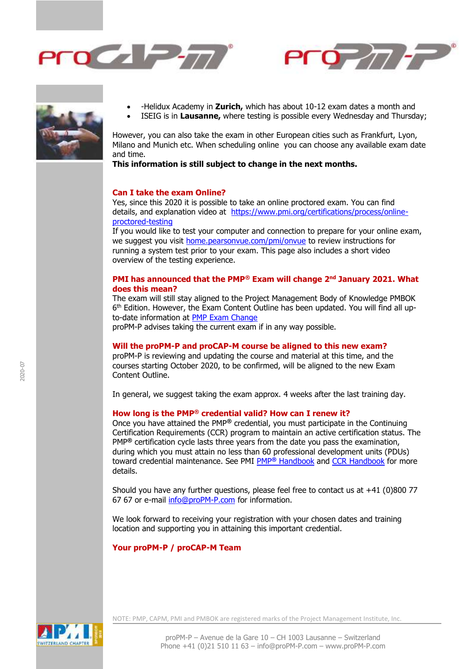





- -Helidux Academy in **Zurich,** which has about 10-12 exam dates a month and
- ISEIG is in **Lausanne,** where testing is possible every Wednesday and Thursday;

However, you can also take the exam in other European cities such as Frankfurt, Lyon, Milano and Munich etc. When scheduling online you can choose any available exam date and time.

**This information is still subject to change in the next months.**

#### **Can I take the exam Online?**

Yes, since this 2020 it is possible to take an online proctored exam. You can find details, and explanation video at [https://www.pmi.org/certifications/process/online](https://www.pmi.org/certifications/process/online-proctored-testing)[proctored-testing](https://www.pmi.org/certifications/process/online-proctored-testing)

If you would like to test your computer and connection to prepare for your online exam, we suggest you visit [home.pearsonvue.com/pmi/onvue](http://home.pearsonvue.com/pmi/onvue) to review instructions for running a system test prior to your exam. This page also includes a short video overview of the testing experience.

#### **PMI has announced that the PMP® Exam will change 2 nd January 2021. What does this mean?**

The exam will still stay aligned to the Project Management Body of Knowledge PMBOK 6<sup>th</sup> Edition. However, the Exam Content Outline has been updated. You will find all upto-date information at [PMP Exam Change](https://www.pmi.org/certifications/types/project-management-pmp/exam-prep/changes)

proPM-P advises taking the current exam if in any way possible.

# **Will the proPM-P and proCAP-M course be aligned to this new exam?**

proPM-P is reviewing and updating the course and material at this time, and the courses starting October 2020, to be confirmed, will be aligned to the new Exam Content Outline.

In general, we suggest taking the exam approx. 4 weeks after the last training day.

# **How long is the PMP® credential valid? How can I renew it?**

Once you have attained the PMP**®** credential, you must participate in the Continuing Certification Requirements (CCR) program to maintain an active certification status. The PMP**®** certification cycle lasts three years from the date you pass the examination, during which you must attain no less than 60 professional development units (PDUs) toward credential maintenance. See PMI PMP**®** [Handbook](http://www.pmi.org/-/media/pmi/documents/public/pdf/certifications/project-management-professional-handbook.pdf) and [CCR Handbook](http://www.pmi.org/-/media/pmi/documents/public/pdf/certifications/ccr-certification-requirements-handbook.pdf) for more details.

Should you have any further questions, please feel free to contact us at  $+41$  (0)800 77 67 67 or e-mail [info@proPM-P.com](mailto:info@proPM-P.com) for information.

We look forward to receiving your registration with your chosen dates and training location and supporting you in attaining this important credential.

#### **Your proPM-P / proCAP-M Team**